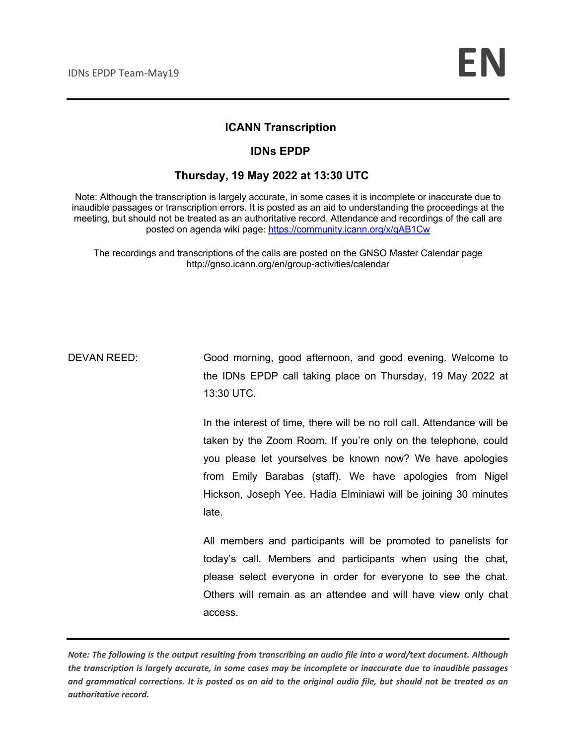#### **ICANN Transcription**

#### **IDNs EPDP**

#### **Thursday, 19 May 2022 at 13:30 UTC**

Note: Although the transcription is largely accurate, in some cases it is incomplete or inaccurate due to inaudible passages or transcription errors. It is posted as an aid to understanding the proceedings at the meeting, but should not be treated as an authoritative record. Attendance and recordings of the call are posted on agenda wiki page: https://community.icann.org/x/gAB1Cw

The recordings and transcriptions of the calls are posted on the GNSO Master Calendar page http://gnso.icann.org/en/group-activities/calendar

DEVAN REED: Good morning, good afternoon, and good evening. Welcome to the IDNs EPDP call taking place on Thursday, 19 May 2022 at 13:30 UTC.

> In the interest of time, there will be no roll call. Attendance will be taken by the Zoom Room. If you're only on the telephone, could you please let yourselves be known now? We have apologies from Emily Barabas (staff). We have apologies from Nigel Hickson, Joseph Yee. Hadia Elminiawi will be joining 30 minutes late.

> All members and participants will be promoted to panelists for today's call. Members and participants when using the chat, please select everyone in order for everyone to see the chat. Others will remain as an attendee and will have view only chat access.

*Note: The following is the output resulting from transcribing an audio file into a word/text document. Although the transcription is largely accurate, in some cases may be incomplete or inaccurate due to inaudible passages and grammatical corrections. It is posted as an aid to the original audio file, but should not be treated as an authoritative record.*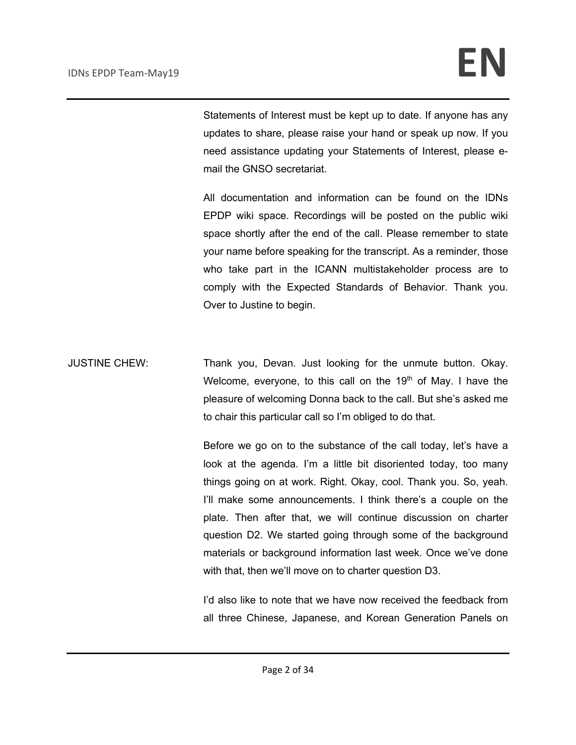Statements of Interest must be kept up to date. If anyone has any updates to share, please raise your hand or speak up now. If you need assistance updating your Statements of Interest, please email the GNSO secretariat.

All documentation and information can be found on the IDNs EPDP wiki space. Recordings will be posted on the public wiki space shortly after the end of the call. Please remember to state your name before speaking for the transcript. As a reminder, those who take part in the ICANN multistakeholder process are to comply with the Expected Standards of Behavior. Thank you. Over to Justine to begin.

JUSTINE CHEW: Thank you, Devan. Just looking for the unmute button. Okay. Welcome, everyone, to this call on the  $19<sup>th</sup>$  of May. I have the pleasure of welcoming Donna back to the call. But she's asked me to chair this particular call so I'm obliged to do that.

> Before we go on to the substance of the call today, let's have a look at the agenda. I'm a little bit disoriented today, too many things going on at work. Right. Okay, cool. Thank you. So, yeah. I'll make some announcements. I think there's a couple on the plate. Then after that, we will continue discussion on charter question D2. We started going through some of the background materials or background information last week. Once we've done with that, then we'll move on to charter question D3.

> I'd also like to note that we have now received the feedback from all three Chinese, Japanese, and Korean Generation Panels on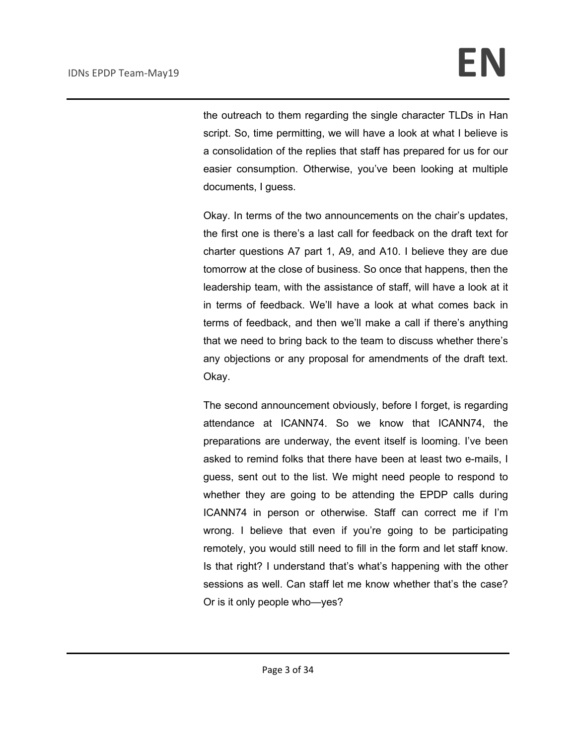the outreach to them regarding the single character TLDs in Han script. So, time permitting, we will have a look at what I believe is a consolidation of the replies that staff has prepared for us for our easier consumption. Otherwise, you've been looking at multiple documents, I guess.

Okay. In terms of the two announcements on the chair's updates, the first one is there's a last call for feedback on the draft text for charter questions A7 part 1, A9, and A10. I believe they are due tomorrow at the close of business. So once that happens, then the leadership team, with the assistance of staff, will have a look at it in terms of feedback. We'll have a look at what comes back in terms of feedback, and then we'll make a call if there's anything that we need to bring back to the team to discuss whether there's any objections or any proposal for amendments of the draft text. Okay.

The second announcement obviously, before I forget, is regarding attendance at ICANN74. So we know that ICANN74, the preparations are underway, the event itself is looming. I've been asked to remind folks that there have been at least two e-mails, I guess, sent out to the list. We might need people to respond to whether they are going to be attending the EPDP calls during ICANN74 in person or otherwise. Staff can correct me if I'm wrong. I believe that even if you're going to be participating remotely, you would still need to fill in the form and let staff know. Is that right? I understand that's what's happening with the other sessions as well. Can staff let me know whether that's the case? Or is it only people who—yes?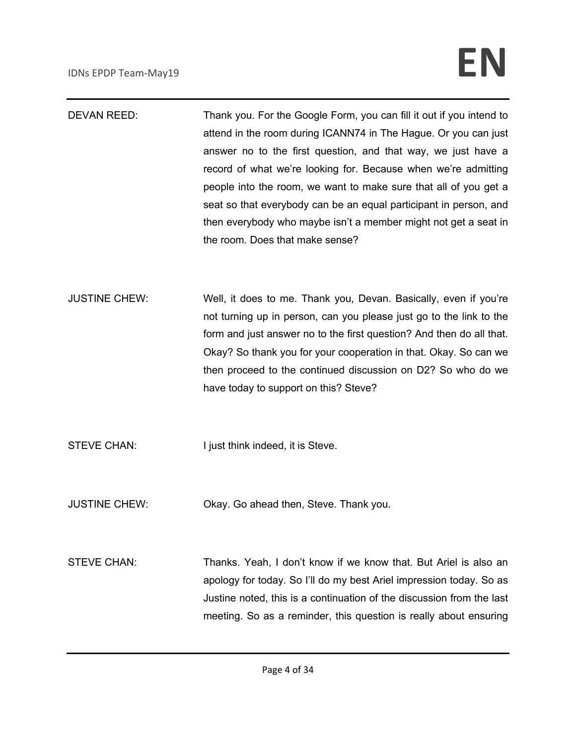# IDNs EPDP Team-May19 **EN**

- DEVAN REED: Thank you. For the Google Form, you can fill it out if you intend to attend in the room during ICANN74 in The Hague. Or you can just answer no to the first question, and that way, we just have a record of what we're looking for. Because when we're admitting people into the room, we want to make sure that all of you get a seat so that everybody can be an equal participant in person, and then everybody who maybe isn't a member might not get a seat in the room. Does that make sense?
- JUSTINE CHEW: Well, it does to me. Thank you, Devan. Basically, even if you're not turning up in person, can you please just go to the link to the form and just answer no to the first question? And then do all that. Okay? So thank you for your cooperation in that. Okay. So can we then proceed to the continued discussion on D2? So who do we have today to support on this? Steve?

STEVE CHAN: I just think indeed, it is Steve.

- JUSTINE CHEW: Okay. Go ahead then, Steve. Thank you.
- STEVE CHAN: Thanks. Yeah, I don't know if we know that. But Ariel is also an apology for today. So I'll do my best Ariel impression today. So as Justine noted, this is a continuation of the discussion from the last meeting. So as a reminder, this question is really about ensuring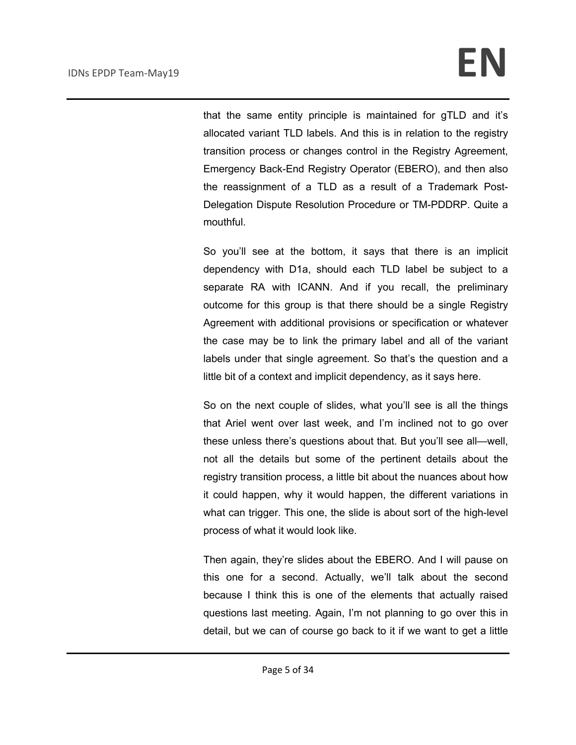that the same entity principle is maintained for gTLD and it's allocated variant TLD labels. And this is in relation to the registry transition process or changes control in the Registry Agreement, Emergency Back-End Registry Operator (EBERO), and then also the reassignment of a TLD as a result of a Trademark Post-Delegation Dispute Resolution Procedure or TM-PDDRP. Quite a mouthful.

So you'll see at the bottom, it says that there is an implicit dependency with D1a, should each TLD label be subject to a separate RA with ICANN. And if you recall, the preliminary outcome for this group is that there should be a single Registry Agreement with additional provisions or specification or whatever the case may be to link the primary label and all of the variant labels under that single agreement. So that's the question and a little bit of a context and implicit dependency, as it says here.

So on the next couple of slides, what you'll see is all the things that Ariel went over last week, and I'm inclined not to go over these unless there's questions about that. But you'll see all—well, not all the details but some of the pertinent details about the registry transition process, a little bit about the nuances about how it could happen, why it would happen, the different variations in what can trigger. This one, the slide is about sort of the high-level process of what it would look like.

Then again, they're slides about the EBERO. And I will pause on this one for a second. Actually, we'll talk about the second because I think this is one of the elements that actually raised questions last meeting. Again, I'm not planning to go over this in detail, but we can of course go back to it if we want to get a little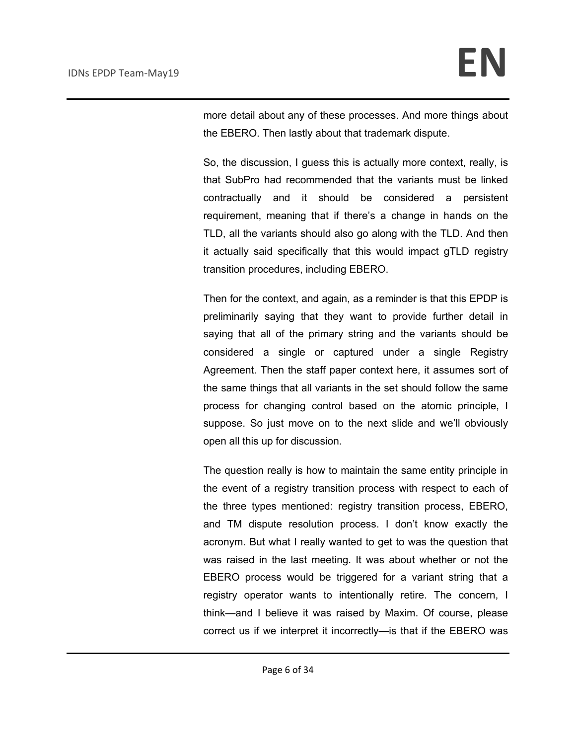more detail about any of these processes. And more things about the EBERO. Then lastly about that trademark dispute.

So, the discussion, I guess this is actually more context, really, is that SubPro had recommended that the variants must be linked contractually and it should be considered a persistent requirement, meaning that if there's a change in hands on the TLD, all the variants should also go along with the TLD. And then it actually said specifically that this would impact gTLD registry transition procedures, including EBERO.

Then for the context, and again, as a reminder is that this EPDP is preliminarily saying that they want to provide further detail in saying that all of the primary string and the variants should be considered a single or captured under a single Registry Agreement. Then the staff paper context here, it assumes sort of the same things that all variants in the set should follow the same process for changing control based on the atomic principle, I suppose. So just move on to the next slide and we'll obviously open all this up for discussion.

The question really is how to maintain the same entity principle in the event of a registry transition process with respect to each of the three types mentioned: registry transition process, EBERO, and TM dispute resolution process. I don't know exactly the acronym. But what I really wanted to get to was the question that was raised in the last meeting. It was about whether or not the EBERO process would be triggered for a variant string that a registry operator wants to intentionally retire. The concern, I think—and I believe it was raised by Maxim. Of course, please correct us if we interpret it incorrectly—is that if the EBERO was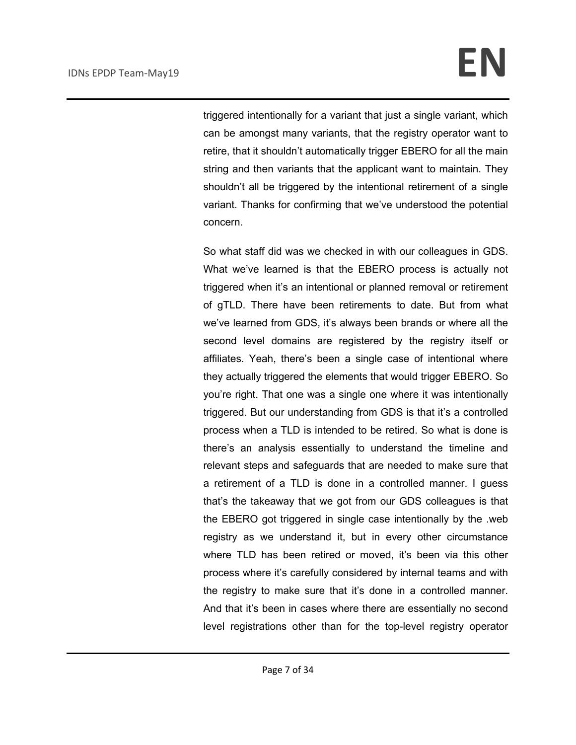triggered intentionally for a variant that just a single variant, which can be amongst many variants, that the registry operator want to retire, that it shouldn't automatically trigger EBERO for all the main string and then variants that the applicant want to maintain. They shouldn't all be triggered by the intentional retirement of a single variant. Thanks for confirming that we've understood the potential concern.

So what staff did was we checked in with our colleagues in GDS. What we've learned is that the EBERO process is actually not triggered when it's an intentional or planned removal or retirement of gTLD. There have been retirements to date. But from what we've learned from GDS, it's always been brands or where all the second level domains are registered by the registry itself or affiliates. Yeah, there's been a single case of intentional where they actually triggered the elements that would trigger EBERO. So you're right. That one was a single one where it was intentionally triggered. But our understanding from GDS is that it's a controlled process when a TLD is intended to be retired. So what is done is there's an analysis essentially to understand the timeline and relevant steps and safeguards that are needed to make sure that a retirement of a TLD is done in a controlled manner. I guess that's the takeaway that we got from our GDS colleagues is that the EBERO got triggered in single case intentionally by the .web registry as we understand it, but in every other circumstance where TLD has been retired or moved, it's been via this other process where it's carefully considered by internal teams and with the registry to make sure that it's done in a controlled manner. And that it's been in cases where there are essentially no second level registrations other than for the top-level registry operator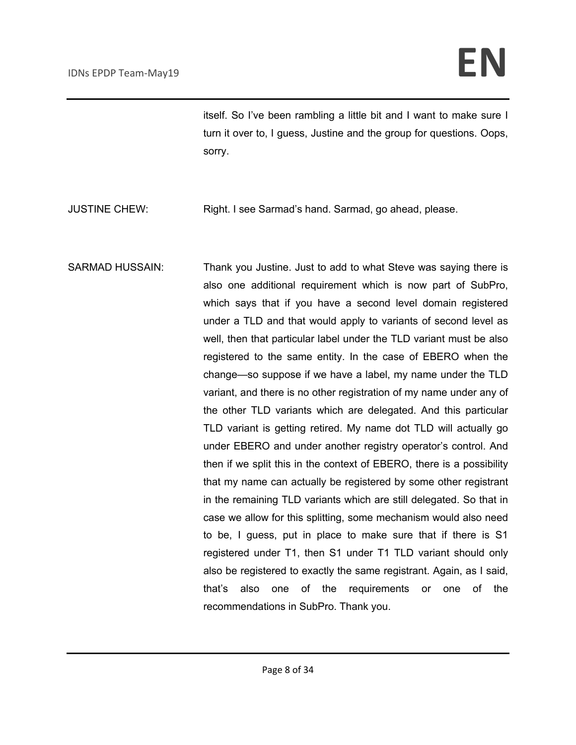itself. So I've been rambling a little bit and I want to make sure I turn it over to, I guess, Justine and the group for questions. Oops, sorry.

JUSTINE CHEW: Right. I see Sarmad's hand. Sarmad, go ahead, please.

SARMAD HUSSAIN: Thank you Justine. Just to add to what Steve was saying there is also one additional requirement which is now part of SubPro, which says that if you have a second level domain registered under a TLD and that would apply to variants of second level as well, then that particular label under the TLD variant must be also registered to the same entity. In the case of EBERO when the change—so suppose if we have a label, my name under the TLD variant, and there is no other registration of my name under any of the other TLD variants which are delegated. And this particular TLD variant is getting retired. My name dot TLD will actually go under EBERO and under another registry operator's control. And then if we split this in the context of EBERO, there is a possibility that my name can actually be registered by some other registrant in the remaining TLD variants which are still delegated. So that in case we allow for this splitting, some mechanism would also need to be, I guess, put in place to make sure that if there is S1 registered under T1, then S1 under T1 TLD variant should only also be registered to exactly the same registrant. Again, as I said, that's also one of the requirements or one of the recommendations in SubPro. Thank you.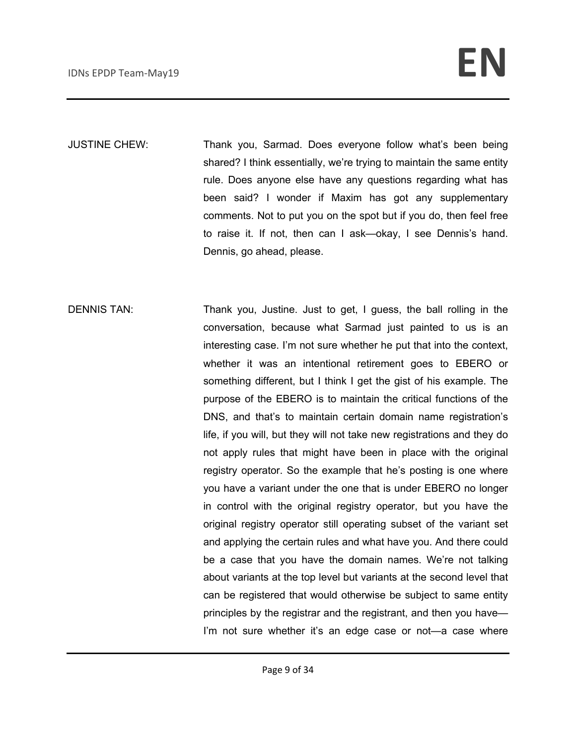JUSTINE CHEW: Thank you, Sarmad. Does everyone follow what's been being shared? I think essentially, we're trying to maintain the same entity rule. Does anyone else have any questions regarding what has been said? I wonder if Maxim has got any supplementary comments. Not to put you on the spot but if you do, then feel free to raise it. If not, then can I ask—okay, I see Dennis's hand. Dennis, go ahead, please.

DENNIS TAN: Thank you, Justine. Just to get, I guess, the ball rolling in the conversation, because what Sarmad just painted to us is an interesting case. I'm not sure whether he put that into the context, whether it was an intentional retirement goes to EBERO or something different, but I think I get the gist of his example. The purpose of the EBERO is to maintain the critical functions of the DNS, and that's to maintain certain domain name registration's life, if you will, but they will not take new registrations and they do not apply rules that might have been in place with the original registry operator. So the example that he's posting is one where you have a variant under the one that is under EBERO no longer in control with the original registry operator, but you have the original registry operator still operating subset of the variant set and applying the certain rules and what have you. And there could be a case that you have the domain names. We're not talking about variants at the top level but variants at the second level that can be registered that would otherwise be subject to same entity principles by the registrar and the registrant, and then you have— I'm not sure whether it's an edge case or not-a case where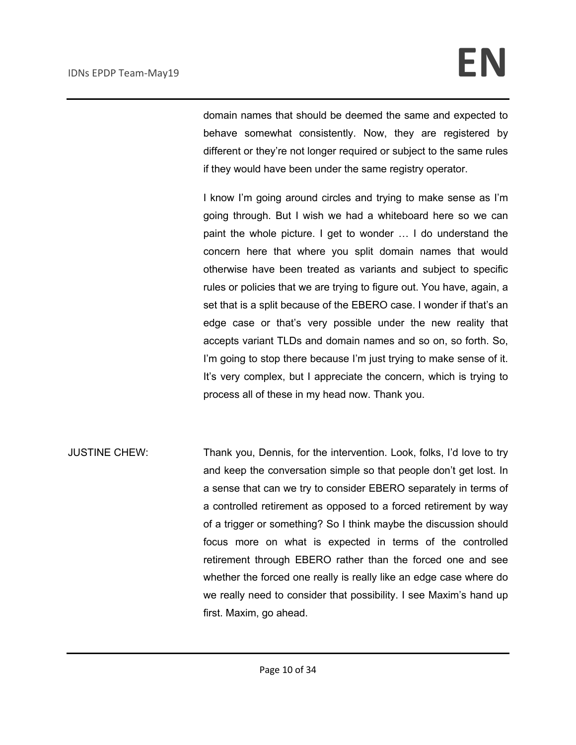domain names that should be deemed the same and expected to behave somewhat consistently. Now, they are registered by different or they're not longer required or subject to the same rules if they would have been under the same registry operator.

I know I'm going around circles and trying to make sense as I'm going through. But I wish we had a whiteboard here so we can paint the whole picture. I get to wonder … I do understand the concern here that where you split domain names that would otherwise have been treated as variants and subject to specific rules or policies that we are trying to figure out. You have, again, a set that is a split because of the EBERO case. I wonder if that's an edge case or that's very possible under the new reality that accepts variant TLDs and domain names and so on, so forth. So, I'm going to stop there because I'm just trying to make sense of it. It's very complex, but I appreciate the concern, which is trying to process all of these in my head now. Thank you.

JUSTINE CHEW: Thank you, Dennis, for the intervention. Look, folks, I'd love to try and keep the conversation simple so that people don't get lost. In a sense that can we try to consider EBERO separately in terms of a controlled retirement as opposed to a forced retirement by way of a trigger or something? So I think maybe the discussion should focus more on what is expected in terms of the controlled retirement through EBERO rather than the forced one and see whether the forced one really is really like an edge case where do we really need to consider that possibility. I see Maxim's hand up first. Maxim, go ahead.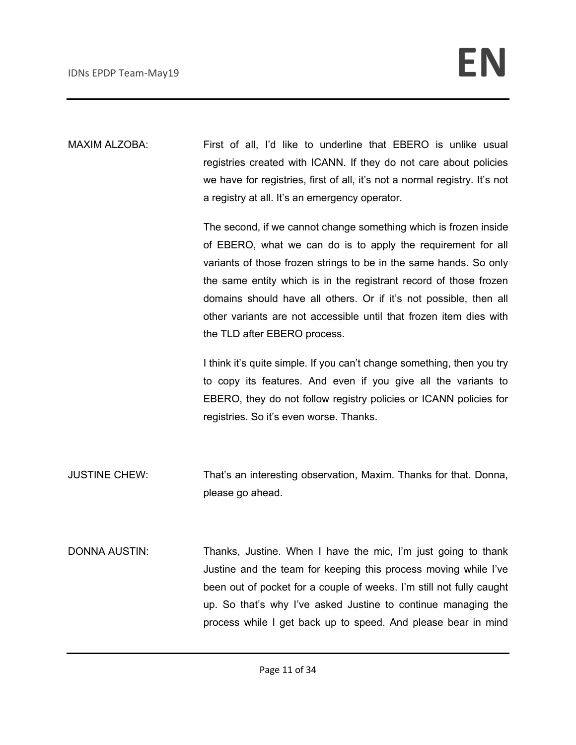MAXIM ALZOBA: First of all, I'd like to underline that EBERO is unlike usual registries created with ICANN. If they do not care about policies we have for registries, first of all, it's not a normal registry. It's not a registry at all. It's an emergency operator.

> The second, if we cannot change something which is frozen inside of EBERO, what we can do is to apply the requirement for all variants of those frozen strings to be in the same hands. So only the same entity which is in the registrant record of those frozen domains should have all others. Or if it's not possible, then all other variants are not accessible until that frozen item dies with the TLD after EBERO process.

> I think it's quite simple. If you can't change something, then you try to copy its features. And even if you give all the variants to EBERO, they do not follow registry policies or ICANN policies for registries. So it's even worse. Thanks.

JUSTINE CHEW: That's an interesting observation, Maxim. Thanks for that. Donna, please go ahead.

DONNA AUSTIN: Thanks, Justine. When I have the mic, I'm just going to thank Justine and the team for keeping this process moving while I've been out of pocket for a couple of weeks. I'm still not fully caught up. So that's why I've asked Justine to continue managing the process while I get back up to speed. And please bear in mind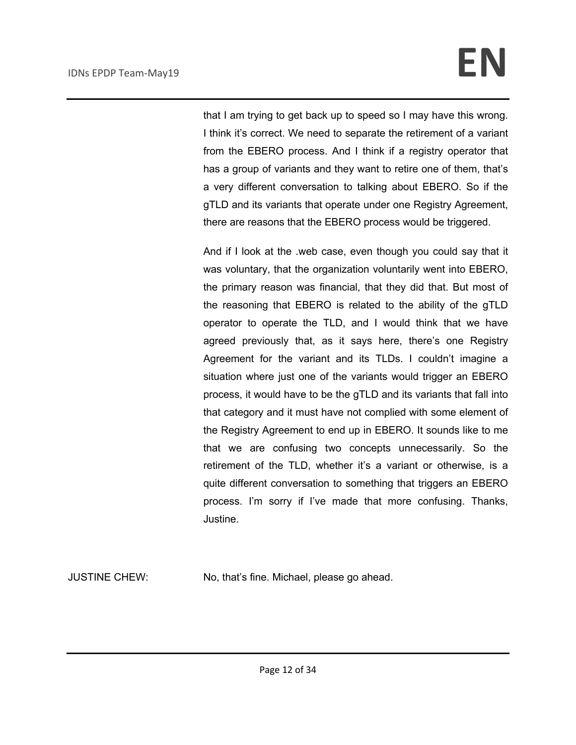that I am trying to get back up to speed so I may have this wrong. I think it's correct. We need to separate the retirement of a variant from the EBERO process. And I think if a registry operator that has a group of variants and they want to retire one of them, that's a very different conversation to talking about EBERO. So if the gTLD and its variants that operate under one Registry Agreement, there are reasons that the EBERO process would be triggered.

And if I look at the .web case, even though you could say that it was voluntary, that the organization voluntarily went into EBERO, the primary reason was financial, that they did that. But most of the reasoning that EBERO is related to the ability of the gTLD operator to operate the TLD, and I would think that we have agreed previously that, as it says here, there's one Registry Agreement for the variant and its TLDs. I couldn't imagine a situation where just one of the variants would trigger an EBERO process, it would have to be the gTLD and its variants that fall into that category and it must have not complied with some element of the Registry Agreement to end up in EBERO. It sounds like to me that we are confusing two concepts unnecessarily. So the retirement of the TLD, whether it's a variant or otherwise, is a quite different conversation to something that triggers an EBERO process. I'm sorry if I've made that more confusing. Thanks, Justine.

JUSTINE CHEW: No, that's fine. Michael, please go ahead.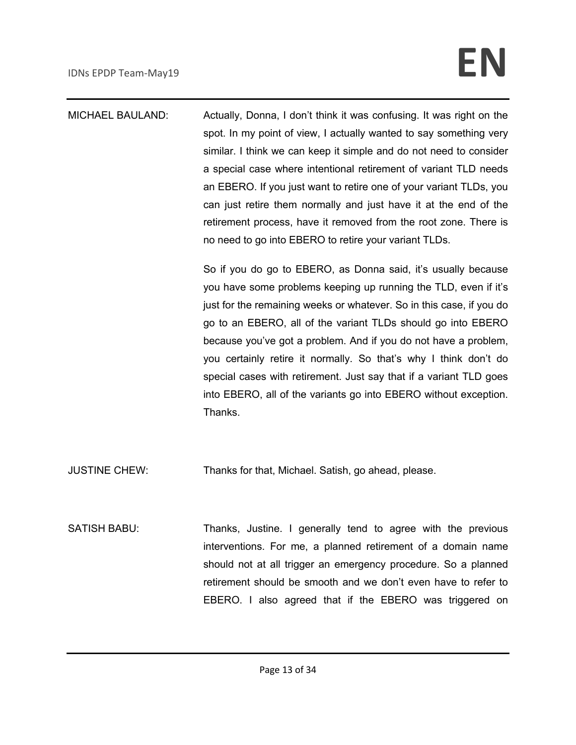MICHAEL BAULAND: Actually, Donna, I don't think it was confusing. It was right on the spot. In my point of view, I actually wanted to say something very similar. I think we can keep it simple and do not need to consider a special case where intentional retirement of variant TLD needs an EBERO. If you just want to retire one of your variant TLDs, you can just retire them normally and just have it at the end of the retirement process, have it removed from the root zone. There is no need to go into EBERO to retire your variant TLDs.

> So if you do go to EBERO, as Donna said, it's usually because you have some problems keeping up running the TLD, even if it's just for the remaining weeks or whatever. So in this case, if you do go to an EBERO, all of the variant TLDs should go into EBERO because you've got a problem. And if you do not have a problem, you certainly retire it normally. So that's why I think don't do special cases with retirement. Just say that if a variant TLD goes into EBERO, all of the variants go into EBERO without exception. Thanks.

JUSTINE CHEW: Thanks for that, Michael. Satish, go ahead, please.

SATISH BABU: Thanks, Justine. I generally tend to agree with the previous interventions. For me, a planned retirement of a domain name should not at all trigger an emergency procedure. So a planned retirement should be smooth and we don't even have to refer to EBERO. I also agreed that if the EBERO was triggered on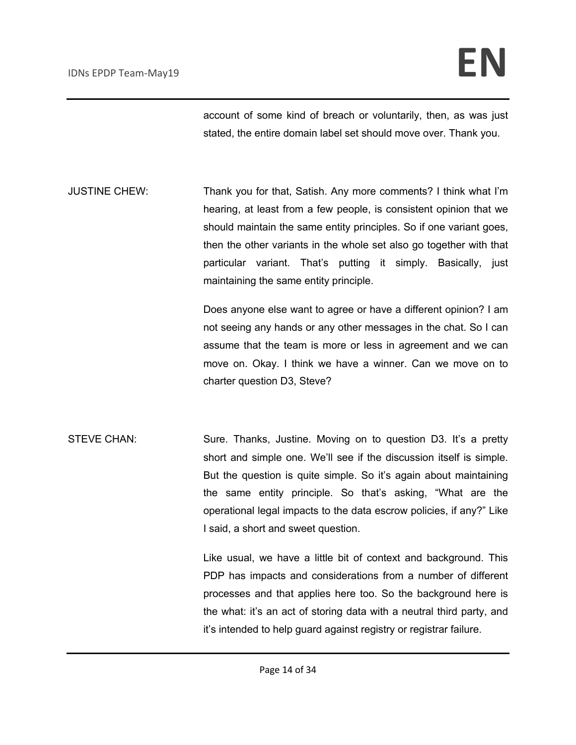account of some kind of breach or voluntarily, then, as was just stated, the entire domain label set should move over. Thank you.

JUSTINE CHEW: Thank you for that, Satish. Any more comments? I think what I'm hearing, at least from a few people, is consistent opinion that we should maintain the same entity principles. So if one variant goes, then the other variants in the whole set also go together with that particular variant. That's putting it simply. Basically, just maintaining the same entity principle.

> Does anyone else want to agree or have a different opinion? I am not seeing any hands or any other messages in the chat. So I can assume that the team is more or less in agreement and we can move on. Okay. I think we have a winner. Can we move on to charter question D3, Steve?

STEVE CHAN: Sure. Thanks, Justine. Moving on to question D3. It's a pretty short and simple one. We'll see if the discussion itself is simple. But the question is quite simple. So it's again about maintaining the same entity principle. So that's asking, "What are the operational legal impacts to the data escrow policies, if any?" Like I said, a short and sweet question.

> Like usual, we have a little bit of context and background. This PDP has impacts and considerations from a number of different processes and that applies here too. So the background here is the what: it's an act of storing data with a neutral third party, and it's intended to help guard against registry or registrar failure.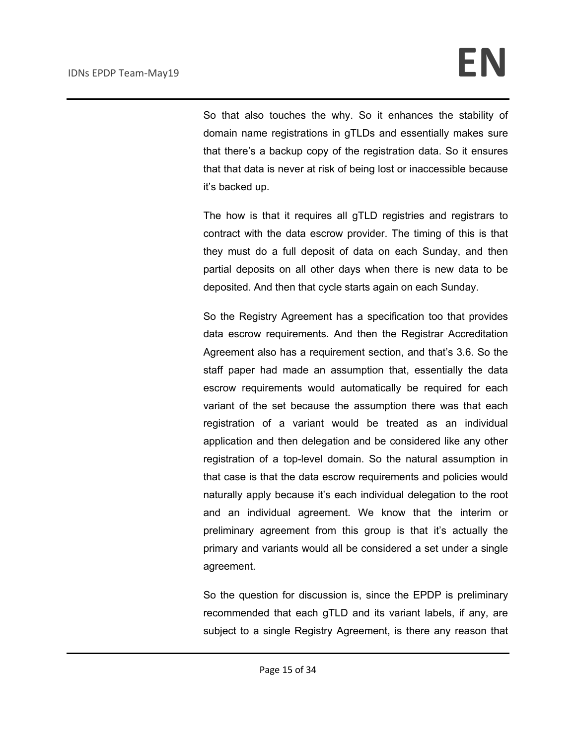So that also touches the why. So it enhances the stability of domain name registrations in gTLDs and essentially makes sure that there's a backup copy of the registration data. So it ensures that that data is never at risk of being lost or inaccessible because it's backed up.

The how is that it requires all gTLD registries and registrars to contract with the data escrow provider. The timing of this is that they must do a full deposit of data on each Sunday, and then partial deposits on all other days when there is new data to be deposited. And then that cycle starts again on each Sunday.

So the Registry Agreement has a specification too that provides data escrow requirements. And then the Registrar Accreditation Agreement also has a requirement section, and that's 3.6. So the staff paper had made an assumption that, essentially the data escrow requirements would automatically be required for each variant of the set because the assumption there was that each registration of a variant would be treated as an individual application and then delegation and be considered like any other registration of a top-level domain. So the natural assumption in that case is that the data escrow requirements and policies would naturally apply because it's each individual delegation to the root and an individual agreement. We know that the interim or preliminary agreement from this group is that it's actually the primary and variants would all be considered a set under a single agreement.

So the question for discussion is, since the EPDP is preliminary recommended that each gTLD and its variant labels, if any, are subject to a single Registry Agreement, is there any reason that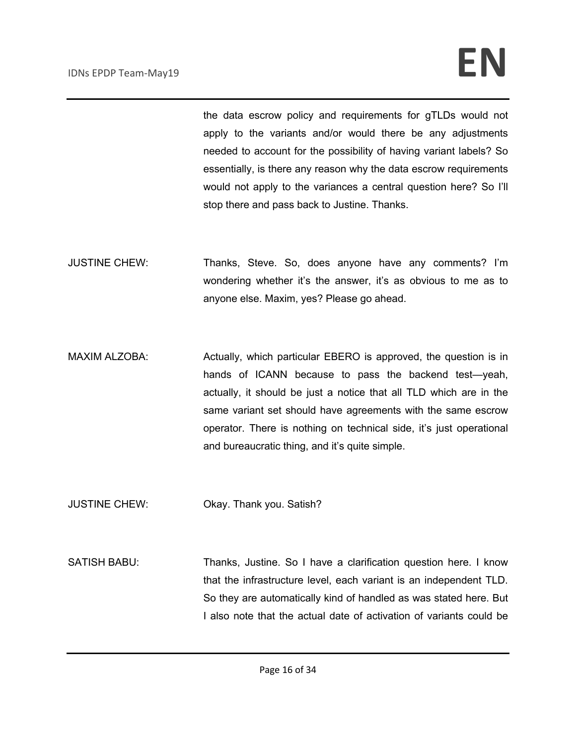the data escrow policy and requirements for gTLDs would not apply to the variants and/or would there be any adjustments needed to account for the possibility of having variant labels? So essentially, is there any reason why the data escrow requirements would not apply to the variances a central question here? So I'll stop there and pass back to Justine. Thanks.

- JUSTINE CHEW: Thanks, Steve. So, does anyone have any comments? I'm wondering whether it's the answer, it's as obvious to me as to anyone else. Maxim, yes? Please go ahead.
- MAXIM ALZOBA: Actually, which particular EBERO is approved, the question is in hands of ICANN because to pass the backend test—yeah, actually, it should be just a notice that all TLD which are in the same variant set should have agreements with the same escrow operator. There is nothing on technical side, it's just operational and bureaucratic thing, and it's quite simple.
- JUSTINE CHEW: Okay. Thank you. Satish?
- SATISH BABU: Thanks, Justine. So I have a clarification question here. I know that the infrastructure level, each variant is an independent TLD. So they are automatically kind of handled as was stated here. But I also note that the actual date of activation of variants could be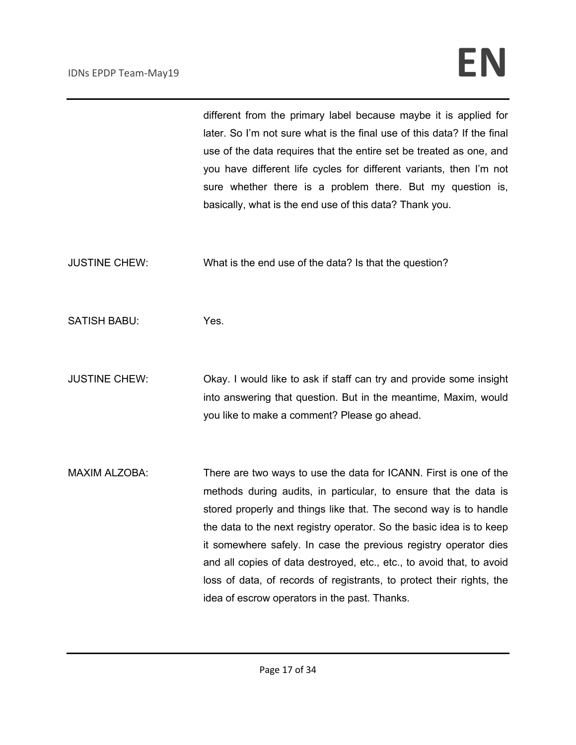|                      | different from the primary label because maybe it is applied for<br>later. So I'm not sure what is the final use of this data? If the final<br>use of the data requires that the entire set be treated as one, and<br>you have different life cycles for different variants, then I'm not<br>sure whether there is a problem there. But my question is,<br>basically, what is the end use of this data? Thank you.                                                                                                                                        |
|----------------------|-----------------------------------------------------------------------------------------------------------------------------------------------------------------------------------------------------------------------------------------------------------------------------------------------------------------------------------------------------------------------------------------------------------------------------------------------------------------------------------------------------------------------------------------------------------|
| <b>JUSTINE CHEW:</b> | What is the end use of the data? Is that the question?                                                                                                                                                                                                                                                                                                                                                                                                                                                                                                    |
| <b>SATISH BABU:</b>  | Yes.                                                                                                                                                                                                                                                                                                                                                                                                                                                                                                                                                      |
| <b>JUSTINE CHEW:</b> | Okay. I would like to ask if staff can try and provide some insight<br>into answering that question. But in the meantime, Maxim, would<br>you like to make a comment? Please go ahead.                                                                                                                                                                                                                                                                                                                                                                    |
| <b>MAXIM ALZOBA:</b> | There are two ways to use the data for ICANN. First is one of the<br>methods during audits, in particular, to ensure that the data is<br>stored properly and things like that. The second way is to handle<br>the data to the next registry operator. So the basic idea is to keep<br>it somewhere safely. In case the previous registry operator dies<br>and all copies of data destroyed, etc., etc., to avoid that, to avoid<br>loss of data, of records of registrants, to protect their rights, the<br>idea of escrow operators in the past. Thanks. |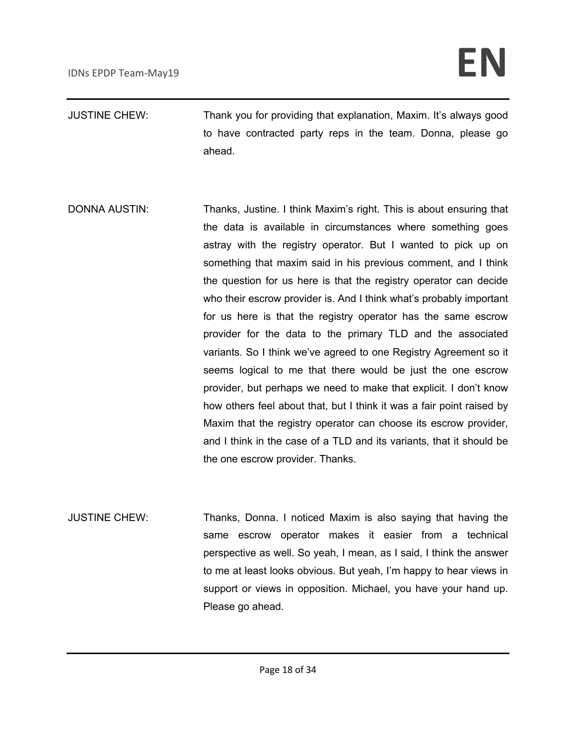- JUSTINE CHEW: Thank you for providing that explanation, Maxim. It's always good to have contracted party reps in the team. Donna, please go ahead.
- DONNA AUSTIN: Thanks, Justine. I think Maxim's right. This is about ensuring that the data is available in circumstances where something goes astray with the registry operator. But I wanted to pick up on something that maxim said in his previous comment, and I think the question for us here is that the registry operator can decide who their escrow provider is. And I think what's probably important for us here is that the registry operator has the same escrow provider for the data to the primary TLD and the associated variants. So I think we've agreed to one Registry Agreement so it seems logical to me that there would be just the one escrow provider, but perhaps we need to make that explicit. I don't know how others feel about that, but I think it was a fair point raised by Maxim that the registry operator can choose its escrow provider, and I think in the case of a TLD and its variants, that it should be the one escrow provider. Thanks.
- JUSTINE CHEW: Thanks, Donna. I noticed Maxim is also saying that having the same escrow operator makes it easier from a technical perspective as well. So yeah, I mean, as I said, I think the answer to me at least looks obvious. But yeah, I'm happy to hear views in support or views in opposition. Michael, you have your hand up. Please go ahead.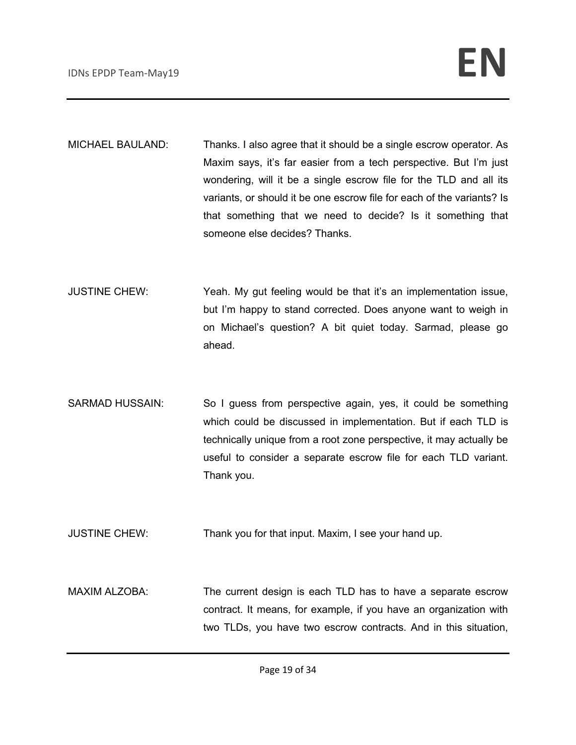- MICHAEL BAULAND: Thanks. I also agree that it should be a single escrow operator. As Maxim says, it's far easier from a tech perspective. But I'm just wondering, will it be a single escrow file for the TLD and all its variants, or should it be one escrow file for each of the variants? Is that something that we need to decide? Is it something that someone else decides? Thanks.
- JUSTINE CHEW: Yeah. My gut feeling would be that it's an implementation issue, but I'm happy to stand corrected. Does anyone want to weigh in on Michael's question? A bit quiet today. Sarmad, please go ahead.
- SARMAD HUSSAIN: So I guess from perspective again, yes, it could be something which could be discussed in implementation. But if each TLD is technically unique from a root zone perspective, it may actually be useful to consider a separate escrow file for each TLD variant. Thank you.
- JUSTINE CHEW: Thank you for that input. Maxim, I see your hand up.
- MAXIM ALZOBA: The current design is each TLD has to have a separate escrow contract. It means, for example, if you have an organization with two TLDs, you have two escrow contracts. And in this situation,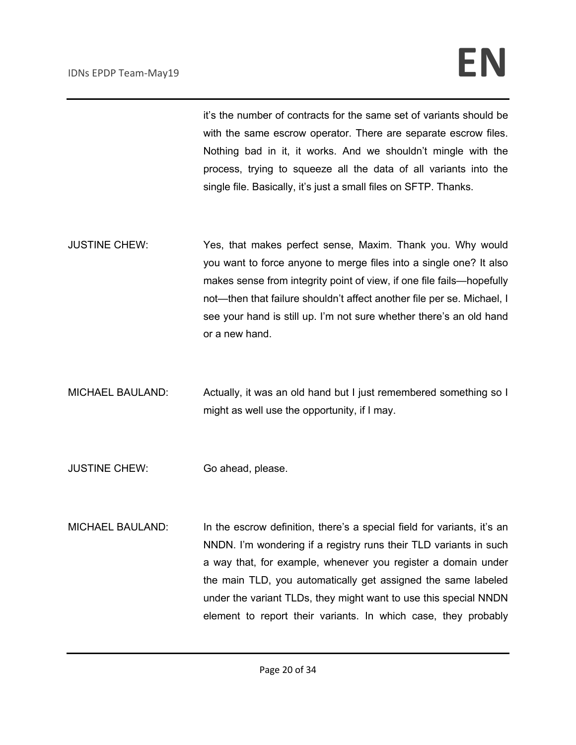it's the number of contracts for the same set of variants should be with the same escrow operator. There are separate escrow files. Nothing bad in it, it works. And we shouldn't mingle with the process, trying to squeeze all the data of all variants into the single file. Basically, it's just a small files on SFTP. Thanks.

- JUSTINE CHEW: Yes, that makes perfect sense, Maxim. Thank you. Why would you want to force anyone to merge files into a single one? It also makes sense from integrity point of view, if one file fails—hopefully not—then that failure shouldn't affect another file per se. Michael, I see your hand is still up. I'm not sure whether there's an old hand or a new hand.
- MICHAEL BAULAND: Actually, it was an old hand but I just remembered something so I might as well use the opportunity, if I may.
- JUSTINE CHEW: Go ahead, please.
- MICHAEL BAULAND: In the escrow definition, there's a special field for variants, it's an NNDN. I'm wondering if a registry runs their TLD variants in such a way that, for example, whenever you register a domain under the main TLD, you automatically get assigned the same labeled under the variant TLDs, they might want to use this special NNDN element to report their variants. In which case, they probably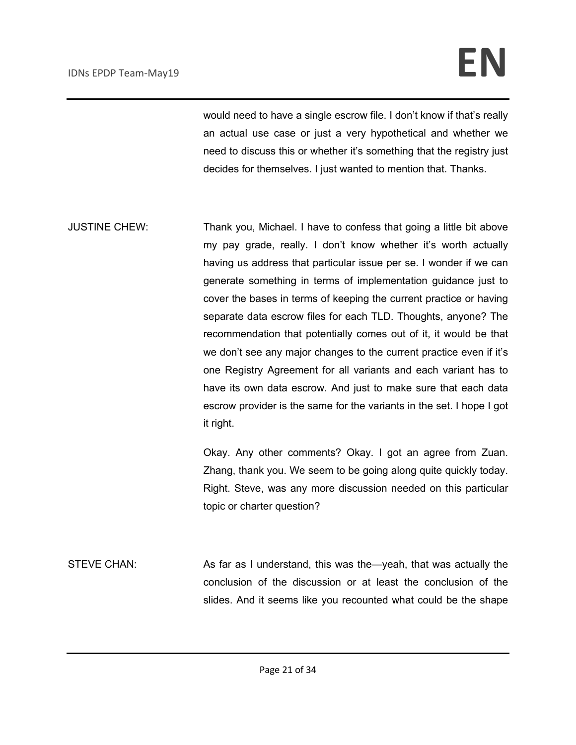## IDNs EPDP Team-May19 **EN**

would need to have a single escrow file. I don't know if that's really an actual use case or just a very hypothetical and whether we need to discuss this or whether it's something that the registry just decides for themselves. I just wanted to mention that. Thanks.

JUSTINE CHEW: Thank you, Michael. I have to confess that going a little bit above my pay grade, really. I don't know whether it's worth actually having us address that particular issue per se. I wonder if we can generate something in terms of implementation guidance just to cover the bases in terms of keeping the current practice or having separate data escrow files for each TLD. Thoughts, anyone? The recommendation that potentially comes out of it, it would be that we don't see any major changes to the current practice even if it's one Registry Agreement for all variants and each variant has to have its own data escrow. And just to make sure that each data escrow provider is the same for the variants in the set. I hope I got it right.

> Okay. Any other comments? Okay. I got an agree from Zuan. Zhang, thank you. We seem to be going along quite quickly today. Right. Steve, was any more discussion needed on this particular topic or charter question?

STEVE CHAN: As far as I understand, this was the—yeah, that was actually the conclusion of the discussion or at least the conclusion of the slides. And it seems like you recounted what could be the shape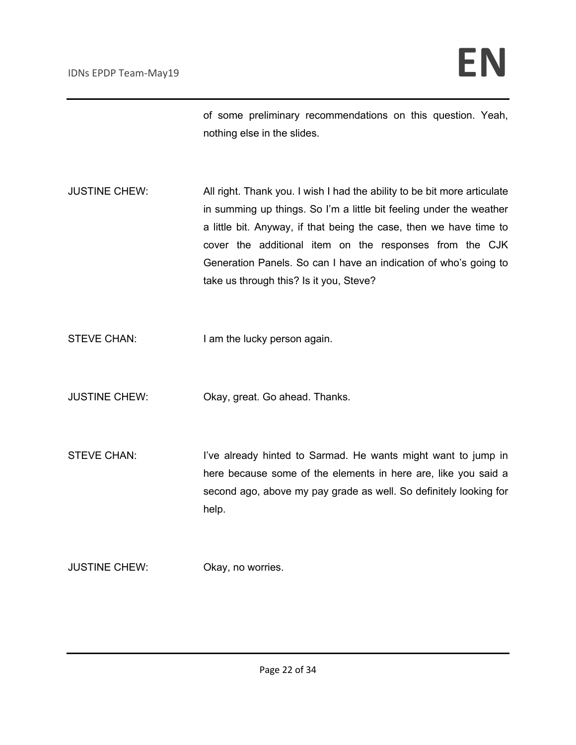of some preliminary recommendations on this question. Yeah, nothing else in the slides.

- JUSTINE CHEW: All right. Thank you. I wish I had the ability to be bit more articulate in summing up things. So I'm a little bit feeling under the weather a little bit. Anyway, if that being the case, then we have time to cover the additional item on the responses from the CJK Generation Panels. So can I have an indication of who's going to take us through this? Is it you, Steve?
- STEVE CHAN: I am the lucky person again.
- JUSTINE CHEW: Okay, great. Go ahead. Thanks.
- STEVE CHAN: I've already hinted to Sarmad. He wants might want to jump in here because some of the elements in here are, like you said a second ago, above my pay grade as well. So definitely looking for help.
- JUSTINE CHEW: Okay, no worries.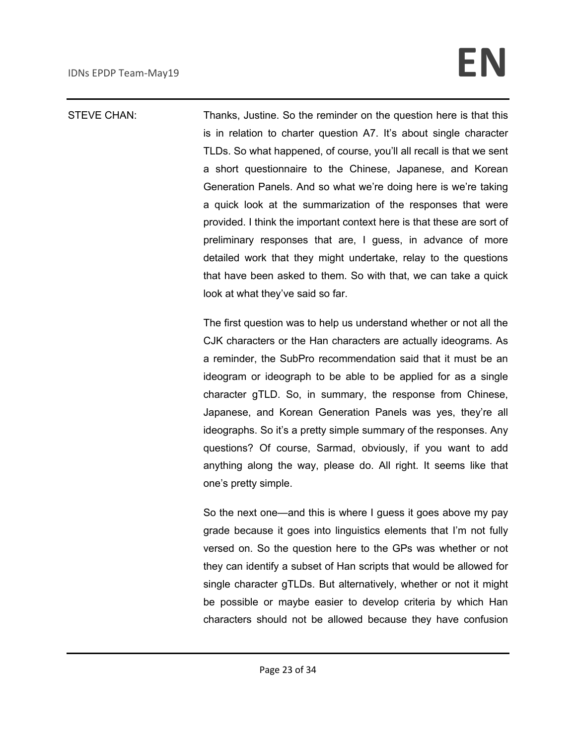## IDNs EPDP Team-May19 **EN**

STEVE CHAN: Thanks, Justine. So the reminder on the question here is that this is in relation to charter question A7. It's about single character TLDs. So what happened, of course, you'll all recall is that we sent a short questionnaire to the Chinese, Japanese, and Korean Generation Panels. And so what we're doing here is we're taking a quick look at the summarization of the responses that were provided. I think the important context here is that these are sort of preliminary responses that are, I guess, in advance of more detailed work that they might undertake, relay to the questions that have been asked to them. So with that, we can take a quick look at what they've said so far.

> The first question was to help us understand whether or not all the CJK characters or the Han characters are actually ideograms. As a reminder, the SubPro recommendation said that it must be an ideogram or ideograph to be able to be applied for as a single character gTLD. So, in summary, the response from Chinese, Japanese, and Korean Generation Panels was yes, they're all ideographs. So it's a pretty simple summary of the responses. Any questions? Of course, Sarmad, obviously, if you want to add anything along the way, please do. All right. It seems like that one's pretty simple.

> So the next one—and this is where I guess it goes above my pay grade because it goes into linguistics elements that I'm not fully versed on. So the question here to the GPs was whether or not they can identify a subset of Han scripts that would be allowed for single character gTLDs. But alternatively, whether or not it might be possible or maybe easier to develop criteria by which Han characters should not be allowed because they have confusion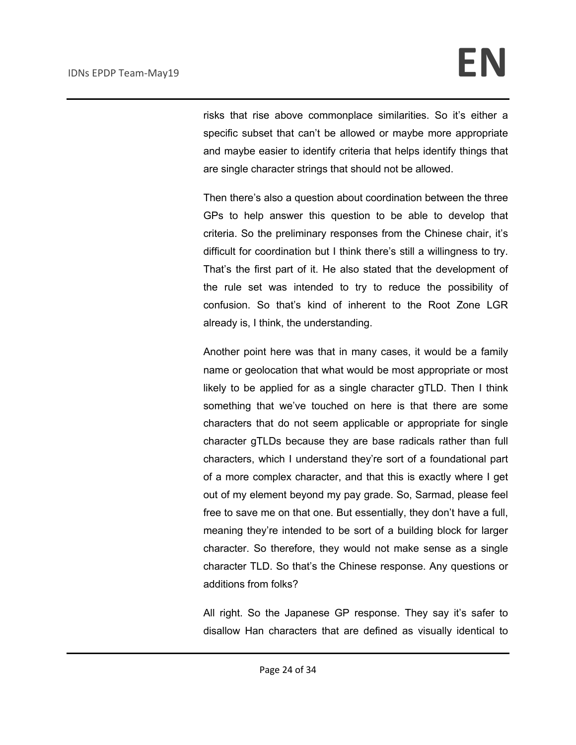risks that rise above commonplace similarities. So it's either a specific subset that can't be allowed or maybe more appropriate and maybe easier to identify criteria that helps identify things that are single character strings that should not be allowed.

Then there's also a question about coordination between the three GPs to help answer this question to be able to develop that criteria. So the preliminary responses from the Chinese chair, it's difficult for coordination but I think there's still a willingness to try. That's the first part of it. He also stated that the development of the rule set was intended to try to reduce the possibility of confusion. So that's kind of inherent to the Root Zone LGR already is, I think, the understanding.

Another point here was that in many cases, it would be a family name or geolocation that what would be most appropriate or most likely to be applied for as a single character gTLD. Then I think something that we've touched on here is that there are some characters that do not seem applicable or appropriate for single character gTLDs because they are base radicals rather than full characters, which I understand they're sort of a foundational part of a more complex character, and that this is exactly where I get out of my element beyond my pay grade. So, Sarmad, please feel free to save me on that one. But essentially, they don't have a full, meaning they're intended to be sort of a building block for larger character. So therefore, they would not make sense as a single character TLD. So that's the Chinese response. Any questions or additions from folks?

All right. So the Japanese GP response. They say it's safer to disallow Han characters that are defined as visually identical to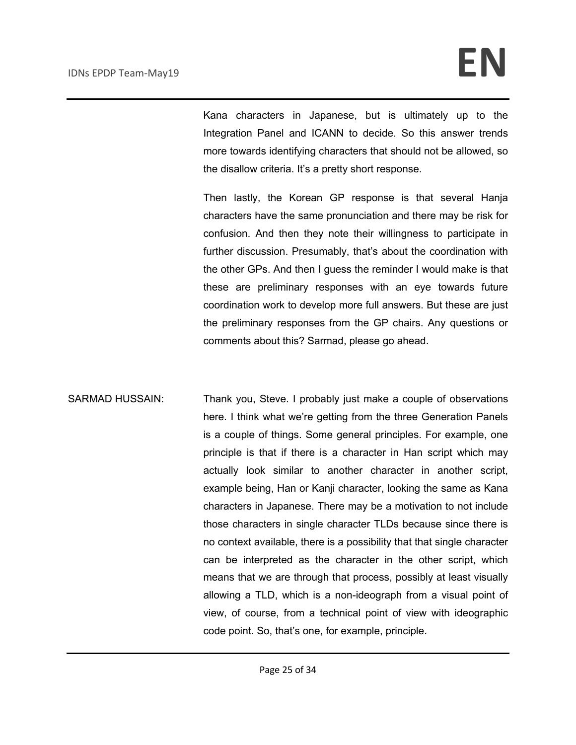Kana characters in Japanese, but is ultimately up to the Integration Panel and ICANN to decide. So this answer trends more towards identifying characters that should not be allowed, so the disallow criteria. It's a pretty short response.

Then lastly, the Korean GP response is that several Hanja characters have the same pronunciation and there may be risk for confusion. And then they note their willingness to participate in further discussion. Presumably, that's about the coordination with the other GPs. And then I guess the reminder I would make is that these are preliminary responses with an eye towards future coordination work to develop more full answers. But these are just the preliminary responses from the GP chairs. Any questions or comments about this? Sarmad, please go ahead.

SARMAD HUSSAIN: Thank you, Steve. I probably just make a couple of observations here. I think what we're getting from the three Generation Panels is a couple of things. Some general principles. For example, one principle is that if there is a character in Han script which may actually look similar to another character in another script, example being, Han or Kanji character, looking the same as Kana characters in Japanese. There may be a motivation to not include those characters in single character TLDs because since there is no context available, there is a possibility that that single character can be interpreted as the character in the other script, which means that we are through that process, possibly at least visually allowing a TLD, which is a non-ideograph from a visual point of view, of course, from a technical point of view with ideographic code point. So, that's one, for example, principle.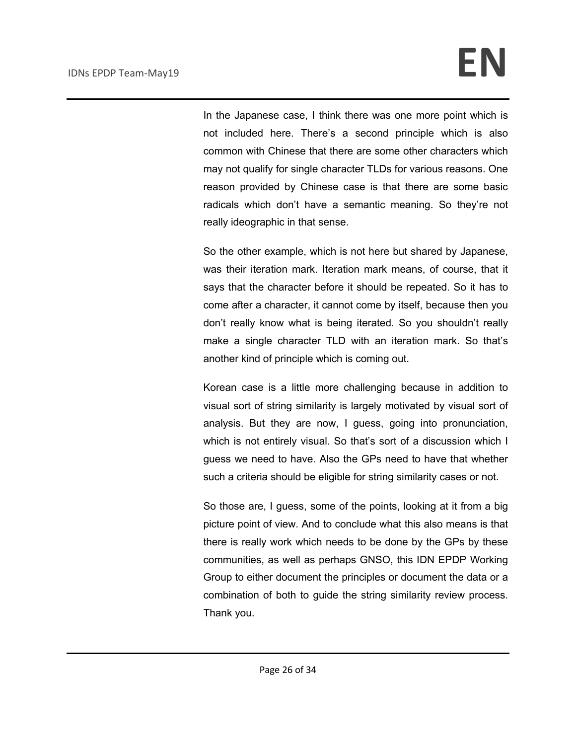In the Japanese case, I think there was one more point which is not included here. There's a second principle which is also common with Chinese that there are some other characters which may not qualify for single character TLDs for various reasons. One reason provided by Chinese case is that there are some basic radicals which don't have a semantic meaning. So they're not really ideographic in that sense.

So the other example, which is not here but shared by Japanese, was their iteration mark. Iteration mark means, of course, that it says that the character before it should be repeated. So it has to come after a character, it cannot come by itself, because then you don't really know what is being iterated. So you shouldn't really make a single character TLD with an iteration mark. So that's another kind of principle which is coming out.

Korean case is a little more challenging because in addition to visual sort of string similarity is largely motivated by visual sort of analysis. But they are now, I guess, going into pronunciation, which is not entirely visual. So that's sort of a discussion which I guess we need to have. Also the GPs need to have that whether such a criteria should be eligible for string similarity cases or not.

So those are, I guess, some of the points, looking at it from a big picture point of view. And to conclude what this also means is that there is really work which needs to be done by the GPs by these communities, as well as perhaps GNSO, this IDN EPDP Working Group to either document the principles or document the data or a combination of both to guide the string similarity review process. Thank you.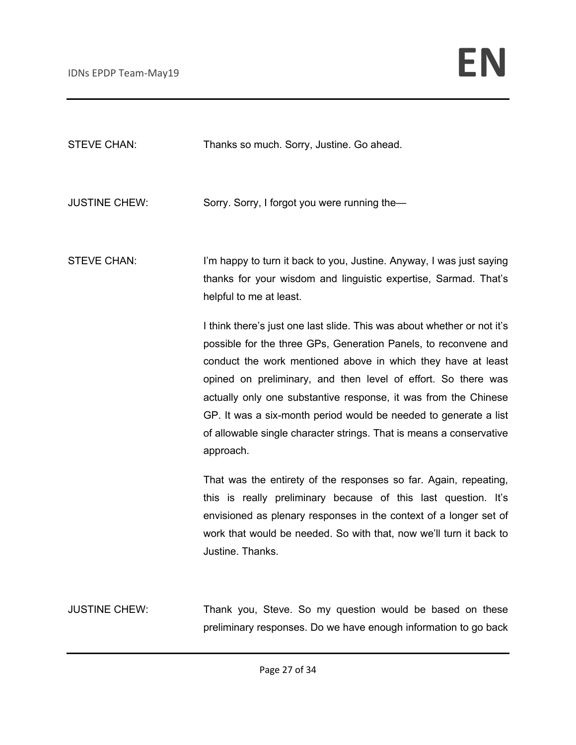| <b>STEVE CHAN:</b>   | Thanks so much. Sorry, Justine. Go ahead.                                                                                                                                                                                                                                                                                                                                                                                                                                                              |
|----------------------|--------------------------------------------------------------------------------------------------------------------------------------------------------------------------------------------------------------------------------------------------------------------------------------------------------------------------------------------------------------------------------------------------------------------------------------------------------------------------------------------------------|
| <b>JUSTINE CHEW:</b> | Sorry. Sorry, I forgot you were running the-                                                                                                                                                                                                                                                                                                                                                                                                                                                           |
| <b>STEVE CHAN:</b>   | I'm happy to turn it back to you, Justine. Anyway, I was just saying<br>thanks for your wisdom and linguistic expertise, Sarmad. That's<br>helpful to me at least.                                                                                                                                                                                                                                                                                                                                     |
|                      | I think there's just one last slide. This was about whether or not it's<br>possible for the three GPs, Generation Panels, to reconvene and<br>conduct the work mentioned above in which they have at least<br>opined on preliminary, and then level of effort. So there was<br>actually only one substantive response, it was from the Chinese<br>GP. It was a six-month period would be needed to generate a list<br>of allowable single character strings. That is means a conservative<br>approach. |
|                      | That was the entirety of the responses so far. Again, repeating,<br>this is really preliminary because of this last question. It's<br>envisioned as plenary responses in the context of a longer set of<br>work that would be needed. So with that, now we'll turn it back to<br>Justine. Thanks.                                                                                                                                                                                                      |
| <b>JUSTINE CHEW:</b> | Thank you, Steve. So my question would be based on these<br>preliminary responses. Do we have enough information to go back                                                                                                                                                                                                                                                                                                                                                                            |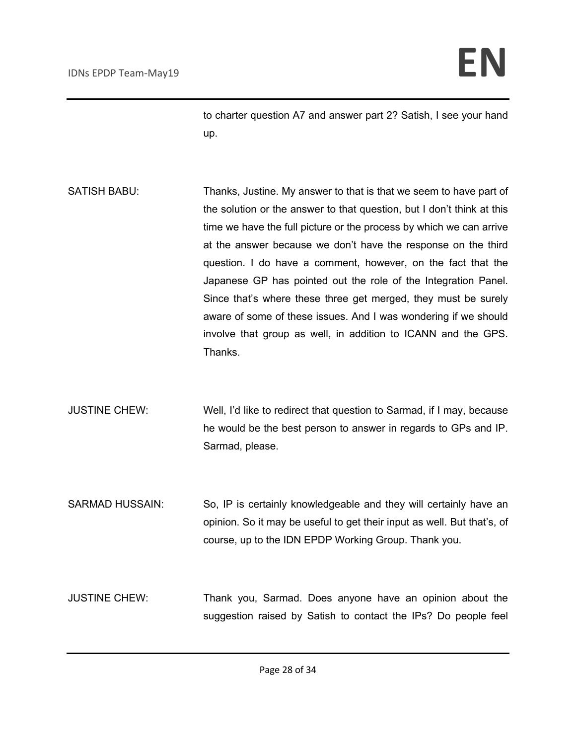to charter question A7 and answer part 2? Satish, I see your hand up.

- SATISH BABU: Thanks, Justine. My answer to that is that we seem to have part of the solution or the answer to that question, but I don't think at this time we have the full picture or the process by which we can arrive at the answer because we don't have the response on the third question. I do have a comment, however, on the fact that the Japanese GP has pointed out the role of the Integration Panel. Since that's where these three get merged, they must be surely aware of some of these issues. And I was wondering if we should involve that group as well, in addition to ICANN and the GPS. Thanks.
- JUSTINE CHEW: Well, I'd like to redirect that question to Sarmad, if I may, because he would be the best person to answer in regards to GPs and IP. Sarmad, please.

SARMAD HUSSAIN: So, IP is certainly knowledgeable and they will certainly have an opinion. So it may be useful to get their input as well. But that's, of course, up to the IDN EPDP Working Group. Thank you.

JUSTINE CHEW: Thank you, Sarmad. Does anyone have an opinion about the suggestion raised by Satish to contact the IPs? Do people feel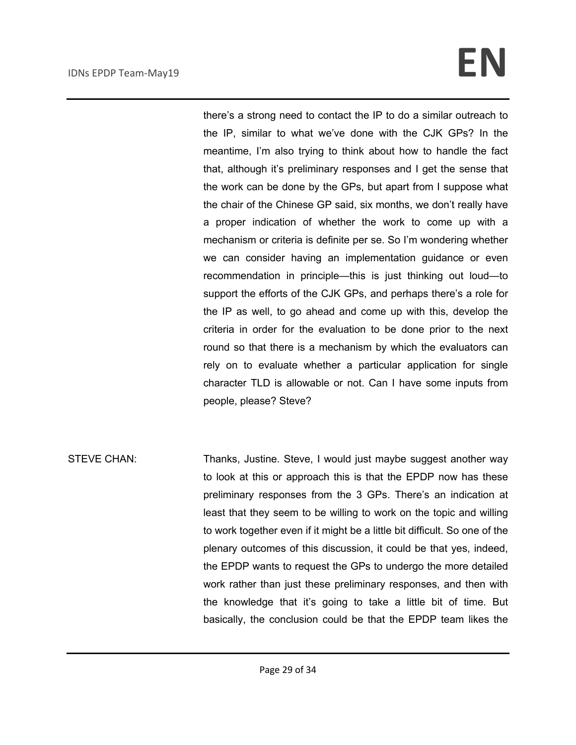## IDNs EPDP Team-May19 **EN**

there's a strong need to contact the IP to do a similar outreach to the IP, similar to what we've done with the CJK GPs? In the meantime, I'm also trying to think about how to handle the fact that, although it's preliminary responses and I get the sense that the work can be done by the GPs, but apart from I suppose what the chair of the Chinese GP said, six months, we don't really have a proper indication of whether the work to come up with a mechanism or criteria is definite per se. So I'm wondering whether we can consider having an implementation guidance or even recommendation in principle—this is just thinking out loud—to support the efforts of the CJK GPs, and perhaps there's a role for the IP as well, to go ahead and come up with this, develop the criteria in order for the evaluation to be done prior to the next round so that there is a mechanism by which the evaluators can rely on to evaluate whether a particular application for single character TLD is allowable or not. Can I have some inputs from people, please? Steve?

STEVE CHAN: Thanks, Justine. Steve, I would just maybe suggest another way to look at this or approach this is that the EPDP now has these preliminary responses from the 3 GPs. There's an indication at least that they seem to be willing to work on the topic and willing to work together even if it might be a little bit difficult. So one of the plenary outcomes of this discussion, it could be that yes, indeed, the EPDP wants to request the GPs to undergo the more detailed work rather than just these preliminary responses, and then with the knowledge that it's going to take a little bit of time. But basically, the conclusion could be that the EPDP team likes the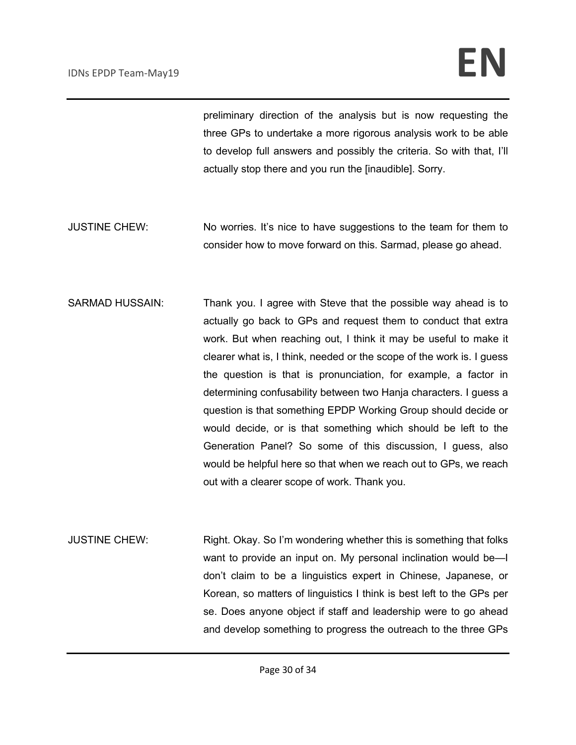## IDNs EPDP Team-May19 **EN**

preliminary direction of the analysis but is now requesting the three GPs to undertake a more rigorous analysis work to be able to develop full answers and possibly the criteria. So with that, I'll actually stop there and you run the [inaudible]. Sorry.

- JUSTINE CHEW: No worries. It's nice to have suggestions to the team for them to consider how to move forward on this. Sarmad, please go ahead.
- SARMAD HUSSAIN: Thank you. I agree with Steve that the possible way ahead is to actually go back to GPs and request them to conduct that extra work. But when reaching out, I think it may be useful to make it clearer what is, I think, needed or the scope of the work is. I guess the question is that is pronunciation, for example, a factor in determining confusability between two Hanja characters. I guess a question is that something EPDP Working Group should decide or would decide, or is that something which should be left to the Generation Panel? So some of this discussion, I guess, also would be helpful here so that when we reach out to GPs, we reach out with a clearer scope of work. Thank you.
- JUSTINE CHEW: Right. Okay. So I'm wondering whether this is something that folks want to provide an input on. My personal inclination would be—I don't claim to be a linguistics expert in Chinese, Japanese, or Korean, so matters of linguistics I think is best left to the GPs per se. Does anyone object if staff and leadership were to go ahead and develop something to progress the outreach to the three GPs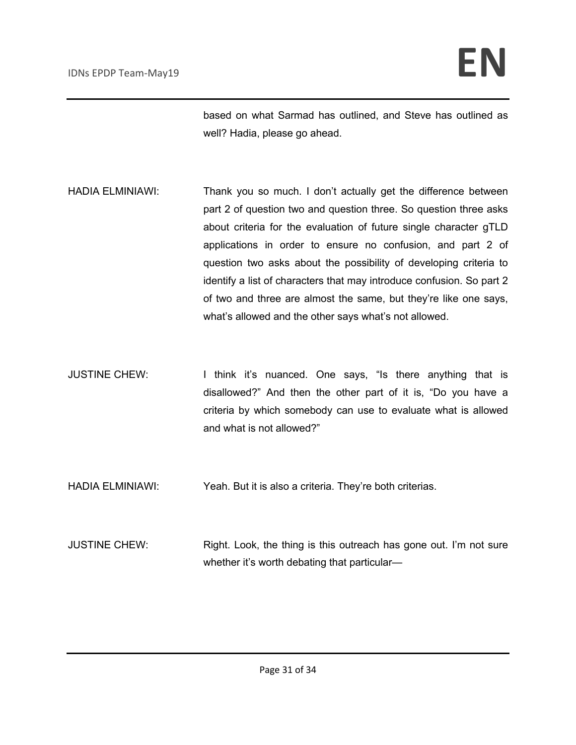based on what Sarmad has outlined, and Steve has outlined as well? Hadia, please go ahead.

- HADIA ELMINIAWI: Thank you so much. I don't actually get the difference between part 2 of question two and question three. So question three asks about criteria for the evaluation of future single character gTLD applications in order to ensure no confusion, and part 2 of question two asks about the possibility of developing criteria to identify a list of characters that may introduce confusion. So part 2 of two and three are almost the same, but they're like one says, what's allowed and the other says what's not allowed.
- JUSTINE CHEW: I think it's nuanced. One says, "Is there anything that is disallowed?" And then the other part of it is, "Do you have a criteria by which somebody can use to evaluate what is allowed and what is not allowed?"
- HADIA ELMINIAWI: Yeah. But it is also a criteria. They're both criterias.
- JUSTINE CHEW: Right. Look, the thing is this outreach has gone out. I'm not sure whether it's worth debating that particular—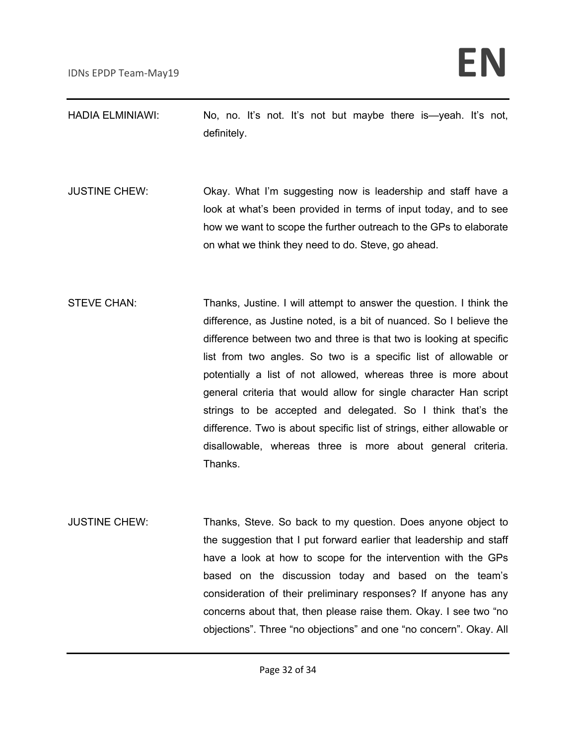| <b>HADIA ELMINIAWI:</b> |             |  |  |  |  | No, no. It's not. It's not but maybe there is—yeah. It's not, |  |
|-------------------------|-------------|--|--|--|--|---------------------------------------------------------------|--|
|                         | definitely. |  |  |  |  |                                                               |  |

- JUSTINE CHEW: Okay. What I'm suggesting now is leadership and staff have a look at what's been provided in terms of input today, and to see how we want to scope the further outreach to the GPs to elaborate on what we think they need to do. Steve, go ahead.
- STEVE CHAN: Thanks, Justine. I will attempt to answer the question. I think the difference, as Justine noted, is a bit of nuanced. So I believe the difference between two and three is that two is looking at specific list from two angles. So two is a specific list of allowable or potentially a list of not allowed, whereas three is more about general criteria that would allow for single character Han script strings to be accepted and delegated. So I think that's the difference. Two is about specific list of strings, either allowable or disallowable, whereas three is more about general criteria. Thanks.
- JUSTINE CHEW: Thanks, Steve. So back to my question. Does anyone object to the suggestion that I put forward earlier that leadership and staff have a look at how to scope for the intervention with the GPs based on the discussion today and based on the team's consideration of their preliminary responses? If anyone has any concerns about that, then please raise them. Okay. I see two "no objections". Three "no objections" and one "no concern". Okay. All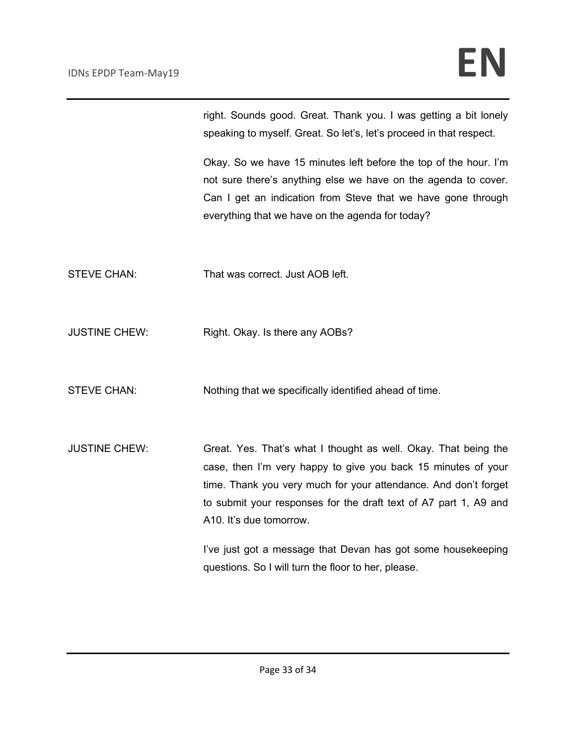right. Sounds good. Great. Thank you. I was getting a bit lonely speaking to myself. Great. So let's, let's proceed in that respect.

Okay. So we have 15 minutes left before the top of the hour. I'm not sure there's anything else we have on the agenda to cover. Can I get an indication from Steve that we have gone through everything that we have on the agenda for today?

- STEVE CHAN: That was correct. Just AOB left.
- JUSTINE CHEW: Right. Okay. Is there any AOBs?

STEVE CHAN: Nothing that we specifically identified ahead of time.

JUSTINE CHEW: Great. Yes. That's what I thought as well. Okay. That being the case, then I'm very happy to give you back 15 minutes of your time. Thank you very much for your attendance. And don't forget to submit your responses for the draft text of A7 part 1, A9 and A10. It's due tomorrow.

> I've just got a message that Devan has got some housekeeping questions. So I will turn the floor to her, please.